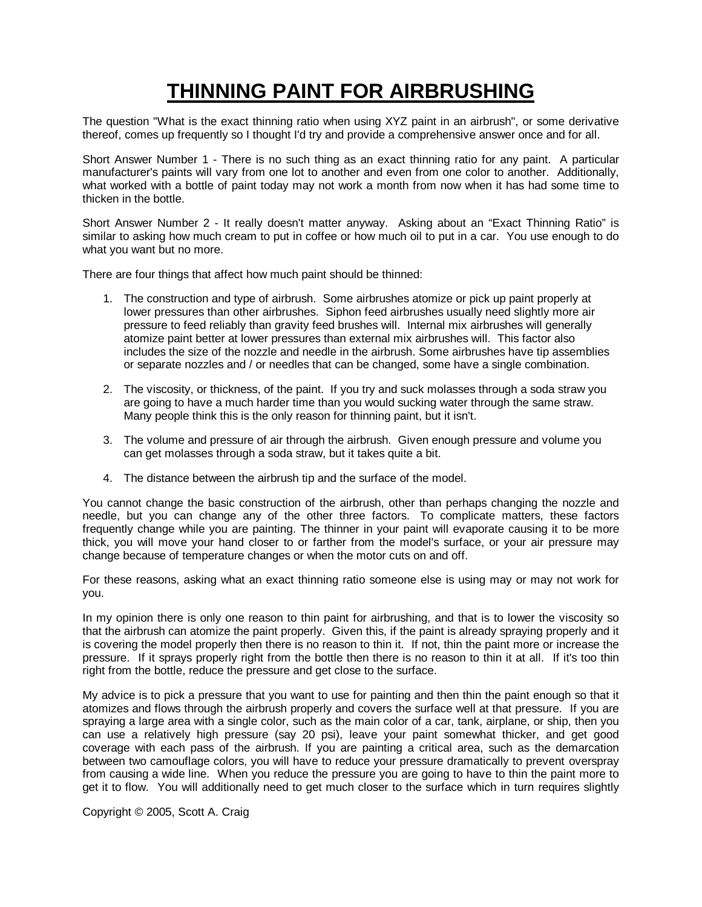## **THINNING PAINT FOR AIRBRUSHING**

The question "What is the exact thinning ratio when using XYZ paint in an airbrush", or some derivative thereof, comes up frequently so I thought I'd try and provide a comprehensive answer once and for all.

Short Answer Number 1 - There is no such thing as an exact thinning ratio for any paint. A particular manufacturer's paints will vary from one lot to another and even from one color to another. Additionally, what worked with a bottle of paint today may not work a month from now when it has had some time to thicken in the bottle.

Short Answer Number 2 - It really doesn't matter anyway. Asking about an "Exact Thinning Ratio" is similar to asking how much cream to put in coffee or how much oil to put in a car. You use enough to do what you want but no more.

There are four things that affect how much paint should be thinned:

- 1. The construction and type of airbrush. Some airbrushes atomize or pick up paint properly at lower pressures than other airbrushes. Siphon feed airbrushes usually need slightly more air pressure to feed reliably than gravity feed brushes will. Internal mix airbrushes will generally atomize paint better at lower pressures than external mix airbrushes will. This factor also includes the size of the nozzle and needle in the airbrush. Some airbrushes have tip assemblies or separate nozzles and / or needles that can be changed, some have a single combination.
- 2. The viscosity, or thickness, of the paint. If you try and suck molasses through a soda straw you are going to have a much harder time than you would sucking water through the same straw. Many people think this is the only reason for thinning paint, but it isn't.
- 3. The volume and pressure of air through the airbrush. Given enough pressure and volume you can get molasses through a soda straw, but it takes quite a bit.
- 4. The distance between the airbrush tip and the surface of the model.

You cannot change the basic construction of the airbrush, other than perhaps changing the nozzle and needle, but you can change any of the other three factors. To complicate matters, these factors frequently change while you are painting. The thinner in your paint will evaporate causing it to be more thick, you will move your hand closer to or farther from the model's surface, or your air pressure may change because of temperature changes or when the motor cuts on and off.

For these reasons, asking what an exact thinning ratio someone else is using may or may not work for you.

In my opinion there is only one reason to thin paint for airbrushing, and that is to lower the viscosity so that the airbrush can atomize the paint properly. Given this, if the paint is already spraying properly and it is covering the model properly then there is no reason to thin it. If not, thin the paint more or increase the pressure. If it sprays properly right from the bottle then there is no reason to thin it at all. If it's too thin right from the bottle, reduce the pressure and get close to the surface.

My advice is to pick a pressure that you want to use for painting and then thin the paint enough so that it atomizes and flows through the airbrush properly and covers the surface well at that pressure. If you are spraying a large area with a single color, such as the main color of a car, tank, airplane, or ship, then you can use a relatively high pressure (say 20 psi), leave your paint somewhat thicker, and get good coverage with each pass of the airbrush. If you are painting a critical area, such as the demarcation between two camouflage colors, you will have to reduce your pressure dramatically to prevent overspray from causing a wide line. When you reduce the pressure you are going to have to thin the paint more to get it to flow. You will additionally need to get much closer to the surface which in turn requires slightly

Copyright © 2005, Scott A. Craig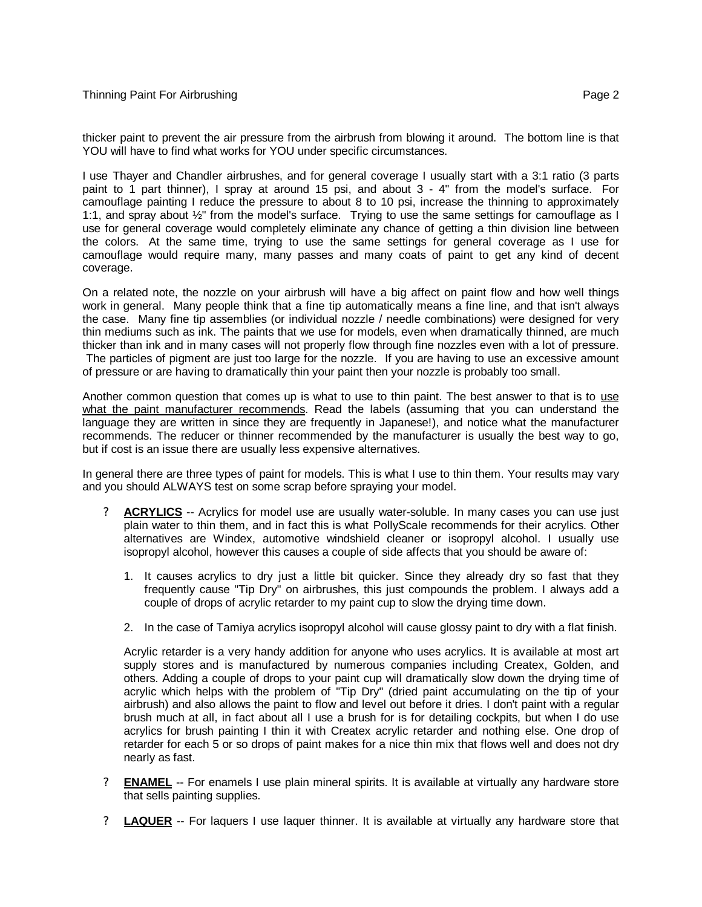I use Thayer and Chandler airbrushes, and for general coverage I usually start with a 3:1 ratio (3 parts paint to 1 part thinner), I spray at around 15 psi, and about 3 - 4" from the model's surface. For camouflage painting I reduce the pressure to about 8 to 10 psi, increase the thinning to approximately 1:1, and spray about ½" from the model's surface. Trying to use the same settings for camouflage as I use for general coverage would completely eliminate any chance of getting a thin division line between the colors. At the same time, trying to use the same settings for general coverage as I use for camouflage would require many, many passes and many coats of paint to get any kind of decent coverage.

On a related note, the nozzle on your airbrush will have a big affect on paint flow and how well things work in general. Many people think that a fine tip automatically means a fine line, and that isn't always the case. Many fine tip assemblies (or individual nozzle / needle combinations) were designed for very thin mediums such as ink. The paints that we use for models, even when dramatically thinned, are much thicker than ink and in many cases will not properly flow through fine nozzles even with a lot of pressure. The particles of pigment are just too large for the nozzle. If you are having to use an excessive amount of pressure or are having to dramatically thin your paint then your nozzle is probably too small.

Another common question that comes up is what to use to thin paint. The best answer to that is to use what the paint manufacturer recommends. Read the labels (assuming that you can understand the language they are written in since they are frequently in Japanese!), and notice what the manufacturer recommends. The reducer or thinner recommended by the manufacturer is usually the best way to go, but if cost is an issue there are usually less expensive alternatives.

In general there are three types of paint for models. This is what I use to thin them. Your results may vary and you should ALWAYS test on some scrap before spraying your model.

- ? **ACRYLICS** -- Acrylics for model use are usually water-soluble. In many cases you can use just plain water to thin them, and in fact this is what PollyScale recommends for their acrylics. Other alternatives are Windex, automotive windshield cleaner or isopropyl alcohol. I usually use isopropyl alcohol, however this causes a couple of side affects that you should be aware of:
	- 1. It causes acrylics to dry just a little bit quicker. Since they already dry so fast that they frequently cause "Tip Dry" on airbrushes, this just compounds the problem. I always add a couple of drops of acrylic retarder to my paint cup to slow the drying time down.
	- 2. In the case of Tamiya acrylics isopropyl alcohol will cause glossy paint to dry with a flat finish.

Acrylic retarder is a very handy addition for anyone who uses acrylics. It is available at most art supply stores and is manufactured by numerous companies including Createx, Golden, and others. Adding a couple of drops to your paint cup will dramatically slow down the drying time of acrylic which helps with the problem of "Tip Dry" (dried paint accumulating on the tip of your airbrush) and also allows the paint to flow and level out before it dries. I don't paint with a regular brush much at all, in fact about all I use a brush for is for detailing cockpits, but when I do use acrylics for brush painting I thin it with Createx acrylic retarder and nothing else. One drop of retarder for each 5 or so drops of paint makes for a nice thin mix that flows well and does not dry nearly as fast.

- ? **ENAMEL** -- For enamels I use plain mineral spirits. It is available at virtually any hardware store that sells painting supplies.
- ? **LAQUER** -- For laquers I use laquer thinner. It is available at virtually any hardware store that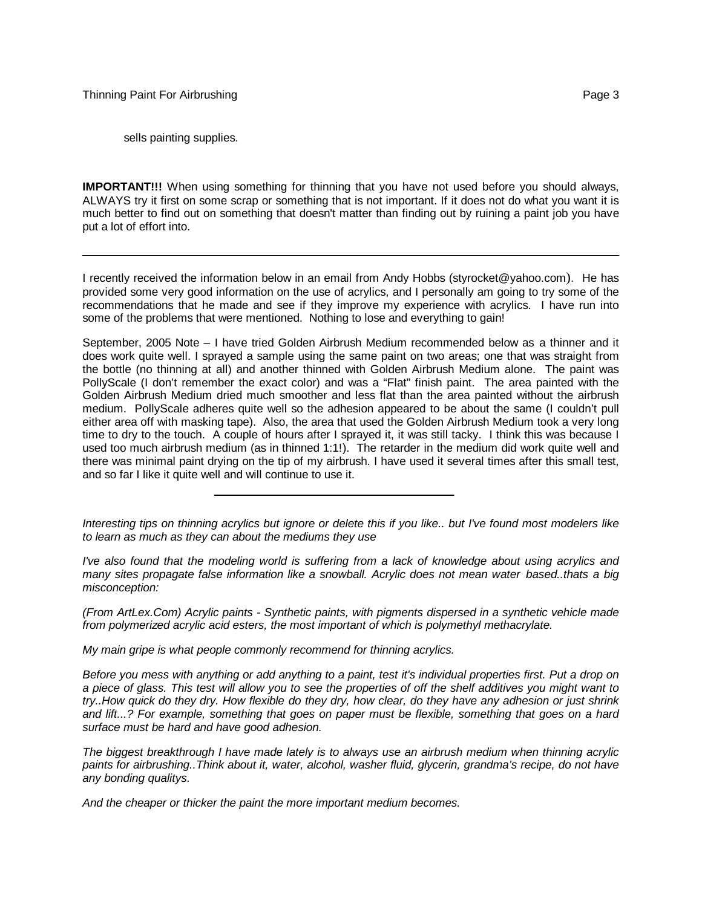sells painting supplies.

**IMPORTANT!!!** When using something for thinning that you have not used before you should always, ALWAYS try it first on some scrap or something that is not important. If it does not do what you want it is much better to find out on something that doesn't matter than finding out by ruining a paint job you have put a lot of effort into.

I recently received the information below in an email from Andy Hobbs (styrocket@yahoo.com). He has provided some very good information on the use of acrylics, and I personally am going to try some of the recommendations that he made and see if they improve my experience with acrylics. I have run into some of the problems that were mentioned. Nothing to lose and everything to gain!

September, 2005 Note – I have tried Golden Airbrush Medium recommended below as a thinner and it does work quite well. I sprayed a sample using the same paint on two areas; one that was straight from the bottle (no thinning at all) and another thinned with Golden Airbrush Medium alone. The paint was PollyScale (I don't remember the exact color) and was a "Flat" finish paint. The area painted with the Golden Airbrush Medium dried much smoother and less flat than the area painted without the airbrush medium. PollyScale adheres quite well so the adhesion appeared to be about the same (I couldn't pull either area off with masking tape). Also, the area that used the Golden Airbrush Medium took a very long time to dry to the touch. A couple of hours after I sprayed it, it was still tacky. I think this was because I used too much airbrush medium (as in thinned 1:1!). The retarder in the medium did work quite well and there was minimal paint drying on the tip of my airbrush. I have used it several times after this small test, and so far I like it quite well and will continue to use it.

*Interesting tips on thinning acrylics but ignore or delete this if you like.. but I've found most modelers like to learn as much as they can about the mediums they use*

*I've also found that the modeling world is suffering from a lack of knowledge about using acrylics and many sites propagate false information like a snowball. Acrylic does not mean water based..thats a big misconception:*

*(From ArtLex.Com) Acrylic paints - Synthetic paints, with pigments dispersed in a synthetic vehicle made from polymerized acrylic acid esters, the most important of which is polymethyl methacrylate.*

*My main gripe is what people commonly recommend for thinning acrylics.*

*Before you mess with anything or add anything to a paint, test it's individual properties first. Put a drop on a piece of glass. This test will allow you to see the properties of off the shelf additives you might want to try..How quick do they dry. How flexible do they dry, how clear, do they have any adhesion or just shrink and lift...? For example, something that goes on paper must be flexible, something that goes on a hard surface must be hard and have good adhesion.*

*The biggest breakthrough I have made lately is to always use an airbrush medium when thinning acrylic paints for airbrushing..Think about it, water, alcohol, washer fluid, glycerin, grandma's recipe, do not have any bonding qualitys.*

*And the cheaper or thicker the paint the more important medium becomes.*